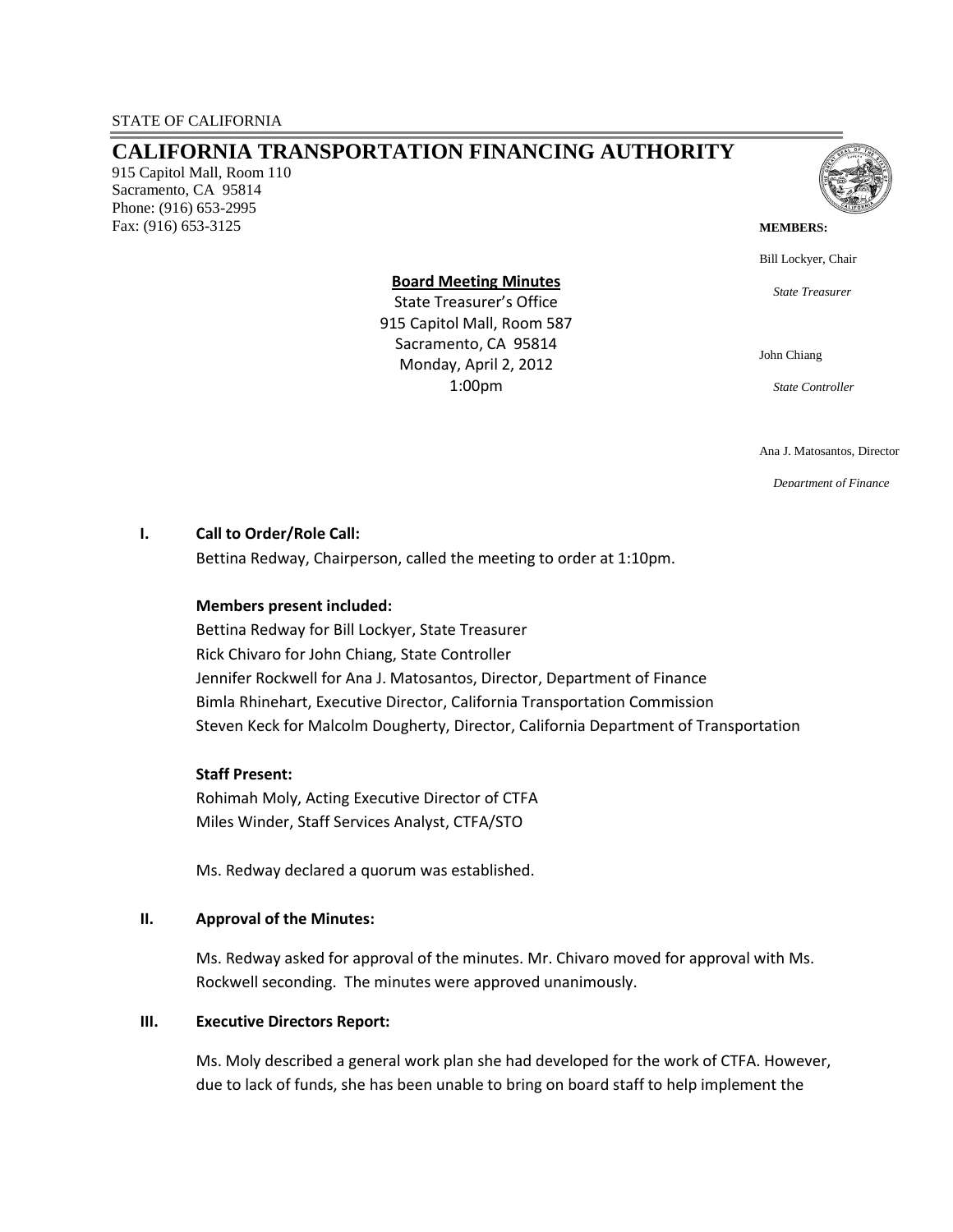# **CALIFORNIA TRANSPORTATION FINANCING AUTHORITY**

915 Capitol Mall, Room 110 Sacramento, CA 95814 Phone: (916) 653-2995 Fax: (916) 653-3125



#### **MEMBERS:**

Bill Lockyer, Chair

*State Treasurer*

**Board Meeting Minutes** 

State Treasurer's Office 915 Capitol Mall, Room 587 Sacramento, CA 95814 Monday, April 2, 2012 1:00pm

John Chiang

*State Controller*

Ana J. Matosantos, Director

*Department of Finance*

## **I. Call to Order/Role Call:**

Bettina Redway, Chairperson, called the meeting to order at 1:10pm.

## **Members present included:**

Bettina Redway for Bill Lockyer, State Treasurer Rick Chivaro for John Chiang, State Controller Jennifer Rockwell for Ana J. Matosantos, Director, Department of Finance Bimla Rhinehart, Executive Director, California Transportation Commission Steven Keck for Malcolm Dougherty, Director, California Department of Transportation

#### **Staff Present:**

Rohimah Moly, Acting Executive Director of CTFA Miles Winder, Staff Services Analyst, CTFA/STO

Ms. Redway declared a quorum was established.

#### **II. Approval of the Minutes:**

Ms. Redway asked for approval of the minutes. Mr. Chivaro moved for approval with Ms. Rockwell seconding. The minutes were approved unanimously.

#### **III. Executive Directors Report:**

Ms. Moly described a general work plan she had developed for the work of CTFA. However, due to lack of funds, she has been unable to bring on board staff to help implement the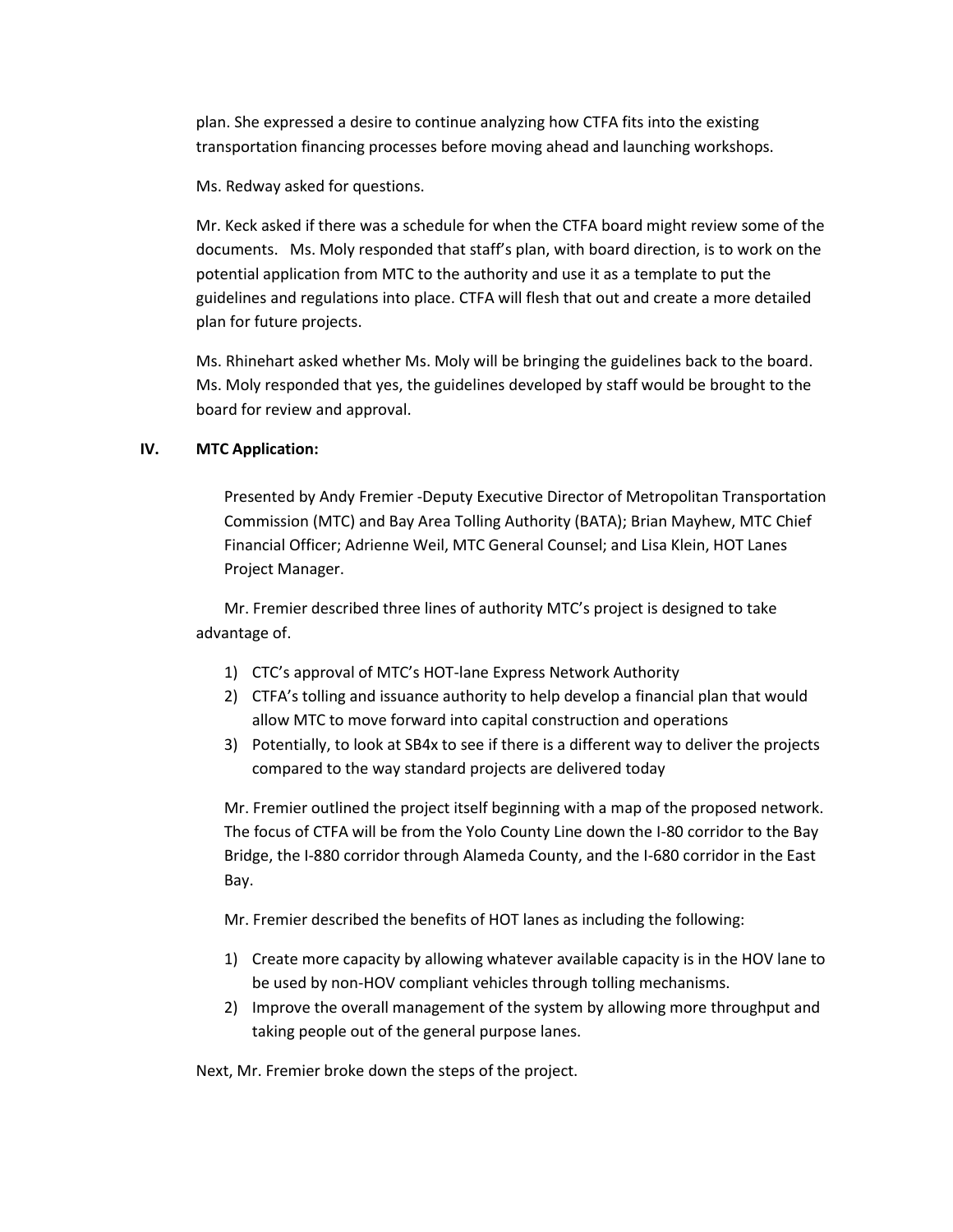plan. She expressed a desire to continue analyzing how CTFA fits into the existing transportation financing processes before moving ahead and launching workshops.

Ms. Redway asked for questions.

Mr. Keck asked if there was a schedule for when the CTFA board might review some of the documents. Ms. Moly responded that staff's plan, with board direction, is to work on the potential application from MTC to the authority and use it as a template to put the guidelines and regulations into place. CTFA will flesh that out and create a more detailed plan for future projects.

Ms. Rhinehart asked whether Ms. Moly will be bringing the guidelines back to the board. Ms. Moly responded that yes, the guidelines developed by staff would be brought to the board for review and approval.

## **IV. MTC Application:**

Presented by Andy Fremier -Deputy Executive Director of Metropolitan Transportation Commission (MTC) and Bay Area Tolling Authority (BATA); Brian Mayhew, MTC Chief Financial Officer; Adrienne Weil, MTC General Counsel; and Lisa Klein, HOT Lanes Project Manager.

Mr. Fremier described three lines of authority MTC's project is designed to take advantage of.

- 1) CTC's approval of MTC's HOT-lane Express Network Authority
- 2) CTFA's tolling and issuance authority to help develop a financial plan that would allow MTC to move forward into capital construction and operations
- 3) Potentially, to look at SB4x to see if there is a different way to deliver the projects compared to the way standard projects are delivered today

Mr. Fremier outlined the project itself beginning with a map of the proposed network. The focus of CTFA will be from the Yolo County Line down the I-80 corridor to the Bay Bridge, the I-880 corridor through Alameda County, and the I-680 corridor in the East Bay.

Mr. Fremier described the benefits of HOT lanes as including the following:

- 1) Create more capacity by allowing whatever available capacity is in the HOV lane to be used by non-HOV compliant vehicles through tolling mechanisms.
- 2) Improve the overall management of the system by allowing more throughput and taking people out of the general purpose lanes.

Next, Mr. Fremier broke down the steps of the project.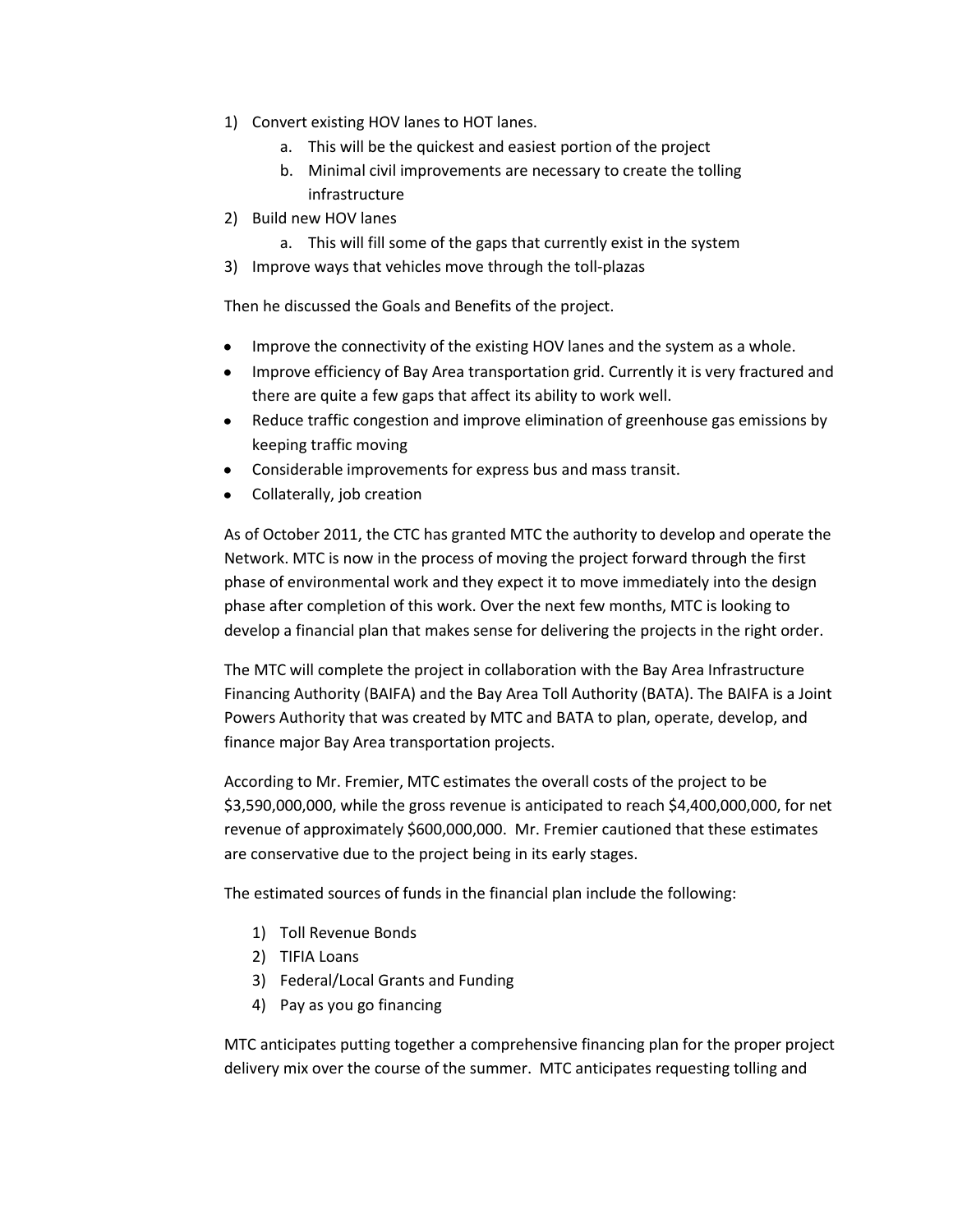- 1) Convert existing HOV lanes to HOT lanes.
	- a. This will be the quickest and easiest portion of the project
	- b. Minimal civil improvements are necessary to create the tolling infrastructure
- 2) Build new HOV lanes
	- a. This will fill some of the gaps that currently exist in the system
- 3) Improve ways that vehicles move through the toll-plazas

Then he discussed the Goals and Benefits of the project.

- Improve the connectivity of the existing HOV lanes and the system as a whole.
- Improve efficiency of Bay Area transportation grid. Currently it is very fractured and  $\bullet$ there are quite a few gaps that affect its ability to work well.
- Reduce traffic congestion and improve elimination of greenhouse gas emissions by keeping traffic moving
- Considerable improvements for express bus and mass transit.
- Collaterally, job creation

As of October 2011, the CTC has granted MTC the authority to develop and operate the Network. MTC is now in the process of moving the project forward through the first phase of environmental work and they expect it to move immediately into the design phase after completion of this work. Over the next few months, MTC is looking to develop a financial plan that makes sense for delivering the projects in the right order.

The MTC will complete the project in collaboration with the Bay Area Infrastructure Financing Authority (BAIFA) and the Bay Area Toll Authority (BATA). The BAIFA is a Joint Powers Authority that was created by MTC and BATA to plan, operate, develop, and finance major Bay Area transportation projects.

According to Mr. Fremier, MTC estimates the overall costs of the project to be \$3,590,000,000, while the gross revenue is anticipated to reach \$4,400,000,000, for net revenue of approximately \$600,000,000. Mr. Fremier cautioned that these estimates are conservative due to the project being in its early stages.

The estimated sources of funds in the financial plan include the following:

- 1) Toll Revenue Bonds
- 2) TIFIA Loans
- 3) Federal/Local Grants and Funding
- 4) Pay as you go financing

MTC anticipates putting together a comprehensive financing plan for the proper project delivery mix over the course of the summer. MTC anticipates requesting tolling and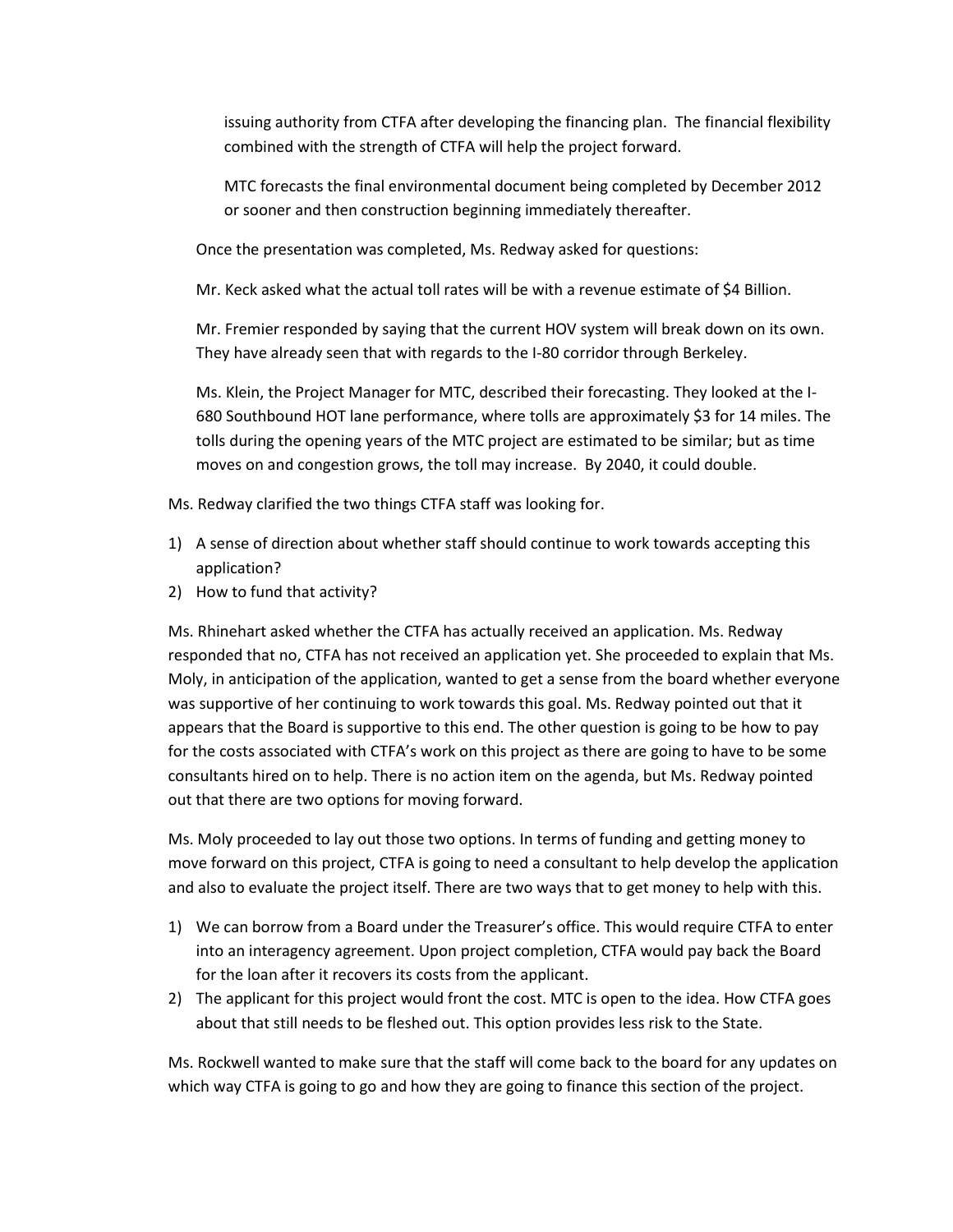issuing authority from CTFA after developing the financing plan. The financial flexibility combined with the strength of CTFA will help the project forward.

MTC forecasts the final environmental document being completed by December 2012 or sooner and then construction beginning immediately thereafter.

Once the presentation was completed, Ms. Redway asked for questions:

Mr. Keck asked what the actual toll rates will be with a revenue estimate of \$4 Billion.

Mr. Fremier responded by saying that the current HOV system will break down on its own. They have already seen that with regards to the I-80 corridor through Berkeley.

Ms. Klein, the Project Manager for MTC, described their forecasting. They looked at the I-680 Southbound HOT lane performance, where tolls are approximately \$3 for 14 miles. The tolls during the opening years of the MTC project are estimated to be similar; but as time moves on and congestion grows, the toll may increase. By 2040, it could double.

- Ms. Redway clarified the two things CTFA staff was looking for.
- 1) A sense of direction about whether staff should continue to work towards accepting this application?
- 2) How to fund that activity?

Ms. Rhinehart asked whether the CTFA has actually received an application. Ms. Redway responded that no, CTFA has not received an application yet. She proceeded to explain that Ms. Moly, in anticipation of the application, wanted to get a sense from the board whether everyone was supportive of her continuing to work towards this goal. Ms. Redway pointed out that it appears that the Board is supportive to this end. The other question is going to be how to pay for the costs associated with CTFA's work on this project as there are going to have to be some consultants hired on to help. There is no action item on the agenda, but Ms. Redway pointed out that there are two options for moving forward.

Ms. Moly proceeded to lay out those two options. In terms of funding and getting money to move forward on this project, CTFA is going to need a consultant to help develop the application and also to evaluate the project itself. There are two ways that to get money to help with this.

- 1) We can borrow from a Board under the Treasurer's office. This would require CTFA to enter into an interagency agreement. Upon project completion, CTFA would pay back the Board for the loan after it recovers its costs from the applicant.
- 2) The applicant for this project would front the cost. MTC is open to the idea. How CTFA goes about that still needs to be fleshed out. This option provides less risk to the State.

Ms. Rockwell wanted to make sure that the staff will come back to the board for any updates on which way CTFA is going to go and how they are going to finance this section of the project.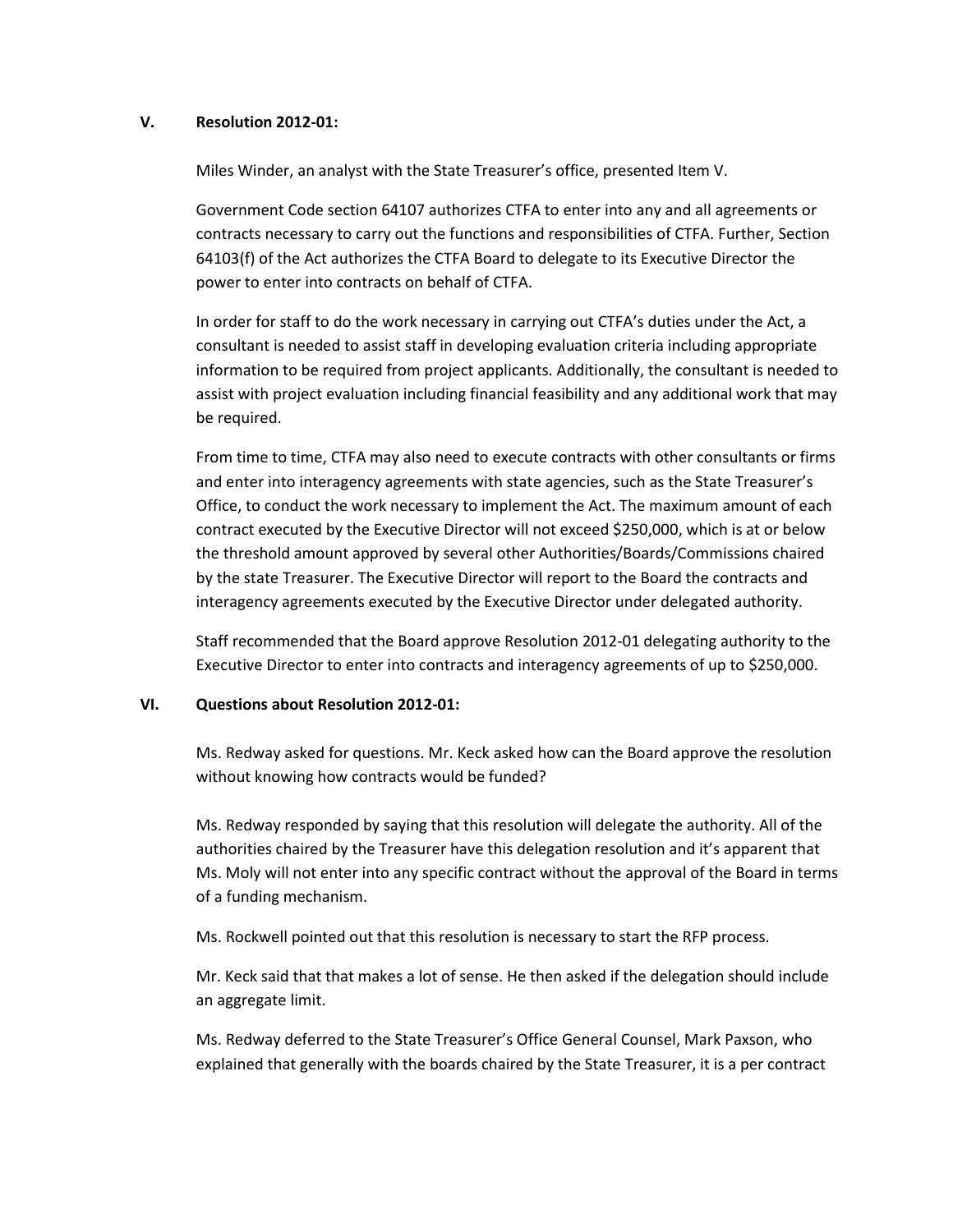#### **V. Resolution 2012-01:**

Miles Winder, an analyst with the State Treasurer's office, presented Item V.

Government Code section 64107 authorizes CTFA to enter into any and all agreements or contracts necessary to carry out the functions and responsibilities of CTFA. Further, Section 64103(f) of the Act authorizes the CTFA Board to delegate to its Executive Director the power to enter into contracts on behalf of CTFA.

In order for staff to do the work necessary in carrying out CTFA's duties under the Act, a consultant is needed to assist staff in developing evaluation criteria including appropriate information to be required from project applicants. Additionally, the consultant is needed to assist with project evaluation including financial feasibility and any additional work that may be required.

From time to time, CTFA may also need to execute contracts with other consultants or firms and enter into interagency agreements with state agencies, such as the State Treasurer's Office, to conduct the work necessary to implement the Act. The maximum amount of each contract executed by the Executive Director will not exceed \$250,000, which is at or below the threshold amount approved by several other Authorities/Boards/Commissions chaired by the state Treasurer. The Executive Director will report to the Board the contracts and interagency agreements executed by the Executive Director under delegated authority.

Staff recommended that the Board approve Resolution 2012-01 delegating authority to the Executive Director to enter into contracts and interagency agreements of up to \$250,000.

## **VI. Questions about Resolution 2012-01:**

Ms. Redway asked for questions. Mr. Keck asked how can the Board approve the resolution without knowing how contracts would be funded?

Ms. Redway responded by saying that this resolution will delegate the authority. All of the authorities chaired by the Treasurer have this delegation resolution and it's apparent that Ms. Moly will not enter into any specific contract without the approval of the Board in terms of a funding mechanism.

Ms. Rockwell pointed out that this resolution is necessary to start the RFP process.

Mr. Keck said that that makes a lot of sense. He then asked if the delegation should include an aggregate limit.

Ms. Redway deferred to the State Treasurer's Office General Counsel, Mark Paxson, who explained that generally with the boards chaired by the State Treasurer, it is a per contract